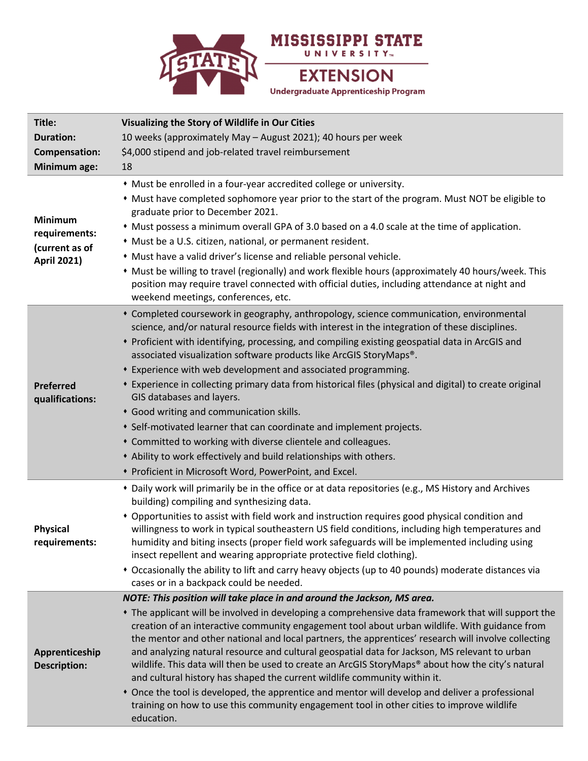

| Title:<br><b>Duration:</b><br>Compensation:<br>Minimum age:             | Visualizing the Story of Wildlife in Our Cities<br>10 weeks (approximately May - August 2021); 40 hours per week<br>\$4,000 stipend and job-related travel reimbursement<br>18                                                                                                                                                                                                                                                                                                                                                                                                                                                                                                                                                                                                                                                                                                                   |
|-------------------------------------------------------------------------|--------------------------------------------------------------------------------------------------------------------------------------------------------------------------------------------------------------------------------------------------------------------------------------------------------------------------------------------------------------------------------------------------------------------------------------------------------------------------------------------------------------------------------------------------------------------------------------------------------------------------------------------------------------------------------------------------------------------------------------------------------------------------------------------------------------------------------------------------------------------------------------------------|
| <b>Minimum</b><br>requirements:<br>(current as of<br><b>April 2021)</b> | • Must be enrolled in a four-year accredited college or university.<br>• Must have completed sophomore year prior to the start of the program. Must NOT be eligible to<br>graduate prior to December 2021.<br>• Must possess a minimum overall GPA of 3.0 based on a 4.0 scale at the time of application.<br>* Must be a U.S. citizen, national, or permanent resident.<br>• Must have a valid driver's license and reliable personal vehicle.<br>* Must be willing to travel (regionally) and work flexible hours (approximately 40 hours/week. This<br>position may require travel connected with official duties, including attendance at night and<br>weekend meetings, conferences, etc.                                                                                                                                                                                                   |
| <b>Preferred</b><br>qualifications:                                     | * Completed coursework in geography, anthropology, science communication, environmental<br>science, and/or natural resource fields with interest in the integration of these disciplines.<br>* Proficient with identifying, processing, and compiling existing geospatial data in ArcGIS and<br>associated visualization software products like ArcGIS StoryMaps®.<br>* Experience with web development and associated programming.<br>* Experience in collecting primary data from historical files (physical and digital) to create original<br>GIS databases and layers.<br>* Good writing and communication skills.<br>• Self-motivated learner that can coordinate and implement projects.<br>* Committed to working with diverse clientele and colleagues.<br>• Ability to work effectively and build relationships with others.<br>• Proficient in Microsoft Word, PowerPoint, and Excel. |
| <b>Physical</b><br>requirements:                                        | * Daily work will primarily be in the office or at data repositories (e.g., MS History and Archives<br>building) compiling and synthesizing data.<br>* Opportunities to assist with field work and instruction requires good physical condition and<br>willingness to work in typical southeastern US field conditions, including high temperatures and<br>humidity and biting insects (proper field work safeguards will be implemented including using<br>insect repellent and wearing appropriate protective field clothing).<br>• Occasionally the ability to lift and carry heavy objects (up to 40 pounds) moderate distances via<br>cases or in a backpack could be needed.                                                                                                                                                                                                               |
| Apprenticeship<br><b>Description:</b>                                   | NOTE: This position will take place in and around the Jackson, MS area.<br>* The applicant will be involved in developing a comprehensive data framework that will support the<br>creation of an interactive community engagement tool about urban wildlife. With guidance from<br>the mentor and other national and local partners, the apprentices' research will involve collecting<br>and analyzing natural resource and cultural geospatial data for Jackson, MS relevant to urban<br>wildlife. This data will then be used to create an ArcGIS StoryMaps® about how the city's natural<br>and cultural history has shaped the current wildlife community within it.<br>• Once the tool is developed, the apprentice and mentor will develop and deliver a professional<br>training on how to use this community engagement tool in other cities to improve wildlife<br>education.          |